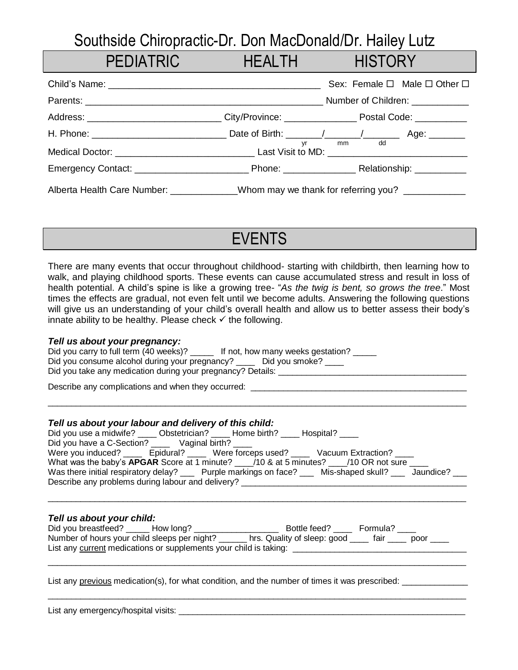## Southside Chiropractic-Dr. Don MacDonald/Dr. Hailey Lutz

PEDIATRIC HEALTH HISTORY

| <u>FLUIAINNU LEISTEN ST</u>                                                                                   |    | TILALITI TIIJTUNI                           |
|---------------------------------------------------------------------------------------------------------------|----|---------------------------------------------|
|                                                                                                               |    | Sex: Female $\Box$ Male $\Box$ Other $\Box$ |
|                                                                                                               |    | Number of Children: ___________             |
| Address: _____________________________City/Province: ___________________________ Postal Code: _______________ |    |                                             |
|                                                                                                               |    |                                             |
|                                                                                                               | yr | mm dd                                       |
|                                                                                                               |    |                                             |
| Alberta Health Care Number: ___________Whom may we thank for referring you? __________                        |    |                                             |

There are many events that occur throughout childhood- starting with childbirth, then learning how to walk, and playing childhood sports. These events can cause accumulated stress and result in loss of health potential. A child's spine is like a growing tree- "*As the twig is bent, so grows the tree*." Most times the effects are gradual, not even felt until we become adults. Answering the following questions will give us an understanding of your child's overall health and allow us to better assess their body's innate ability to be healthy. Please check  $\checkmark$  the following.

EVENTS

## *Tell us about your pregnancy:*

| Did you carry to full term (40 weeks)?<br>If not, how many weeks gestation? |  |
|-----------------------------------------------------------------------------|--|
| Did you consume alcohol during your pregnancy?<br>Did you smoke?            |  |
| Did you take any medication during your pregnancy? Details:                 |  |

Describe any complications and when they occurred:

#### *Tell us about your labour and delivery of this child:*

| Did you use a midwife? _____ Obstetrician? _____ Home birth? _____ Hospital? ____                         |  |
|-----------------------------------------------------------------------------------------------------------|--|
| Did you have a C-Section? Vaginal birth?                                                                  |  |
| Were you induced? ______ Epidural? ______ Were forceps used? _____ Vacuum Extraction? ____                |  |
| What was the baby's APGAR Score at 1 minute? 10 & at 5 minutes? 10 OR not sure 11                         |  |
| Was there initial respiratory delay? ____ Purple markings on face? ____ Mis-shaped skull? ___ Jaundice? _ |  |
| Describe any problems during labour and delivery? ________________________                                |  |

 $\_$  ,  $\_$  ,  $\_$  ,  $\_$  ,  $\_$  ,  $\_$  ,  $\_$  ,  $\_$  ,  $\_$  ,  $\_$  ,  $\_$  ,  $\_$  ,  $\_$  ,  $\_$  ,  $\_$  ,  $\_$  ,  $\_$  ,  $\_$  ,  $\_$  ,  $\_$  ,  $\_$  ,  $\_$  ,  $\_$  ,  $\_$  ,  $\_$  ,  $\_$  ,  $\_$  ,  $\_$  ,  $\_$  ,  $\_$  ,  $\_$  ,  $\_$  ,  $\_$  ,  $\_$  ,  $\_$  ,  $\_$  ,  $\_$  ,

\_\_\_\_\_\_\_\_\_\_\_\_\_\_\_\_\_\_\_\_\_\_\_\_\_\_\_\_\_\_\_\_\_\_\_\_\_\_\_\_\_\_\_\_\_\_\_\_\_\_\_\_\_\_\_\_\_\_\_\_\_\_\_\_\_\_\_\_\_\_\_\_\_\_\_\_\_\_\_\_\_\_\_\_\_\_\_\_\_

## *Tell us about your child:*

| Did you breastfeed?                                               | How long? | Bottle feed?                | Formula? |      |
|-------------------------------------------------------------------|-----------|-----------------------------|----------|------|
| Number of hours your child sleeps per night?                      |           | hrs. Quality of sleep: good | tair tai | poor |
| List any current medications or supplements your child is taking: |           |                             |          |      |

\_\_\_\_\_\_\_\_\_\_\_\_\_\_\_\_\_\_\_\_\_\_\_\_\_\_\_\_\_\_\_\_\_\_\_\_\_\_\_\_\_\_\_\_\_\_\_\_\_\_\_\_\_\_\_\_\_\_\_\_\_\_\_\_\_\_\_\_\_\_\_\_\_\_\_\_\_\_\_\_\_\_\_\_\_\_\_\_\_

 $\_$  ,  $\_$  ,  $\_$  ,  $\_$  ,  $\_$  ,  $\_$  ,  $\_$  ,  $\_$  ,  $\_$  ,  $\_$  ,  $\_$  ,  $\_$  ,  $\_$  ,  $\_$  ,  $\_$  ,  $\_$  ,  $\_$  ,  $\_$  ,  $\_$  ,  $\_$  ,  $\_$  ,  $\_$  ,  $\_$  ,  $\_$  ,  $\_$  ,  $\_$  ,  $\_$  ,  $\_$  ,  $\_$  ,  $\_$  ,  $\_$  ,  $\_$  ,  $\_$  ,  $\_$  ,  $\_$  ,  $\_$  ,  $\_$  ,

List any previous medication(s), for what condition, and the number of times it was prescribed: \_\_\_\_\_\_\_\_\_\_\_\_\_

| List any emergency/hospital visits: |  |  |  |
|-------------------------------------|--|--|--|
|                                     |  |  |  |